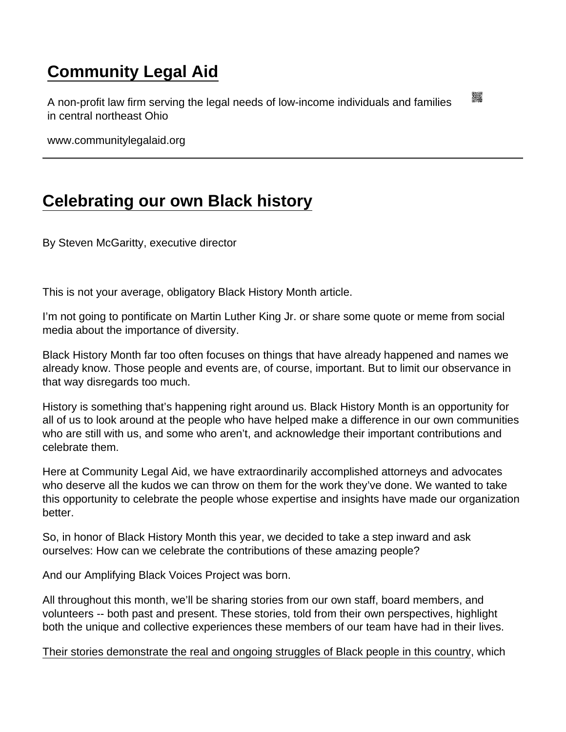## [Community Legal Aid](https://www.communitylegalaid.org/)

A non-profit law firm serving the legal needs of low-income individuals and families in central northeast Ohio

www.communitylegalaid.org

## [Celebrating our own Black history](https://www.communitylegalaid.org/node/1662/celebrating-our-own-black-history)

By Steven McGaritty, executive director

This is not your average, obligatory Black History Month article.

I'm not going to pontificate on Martin Luther King Jr. or share some quote or meme from social media about the importance of diversity.

Black History Month far too often focuses on things that have already happened and names we already know. Those people and events are, of course, important. But to limit our observance in that way disregards too much.

History is something that's happening right around us. Black History Month is an opportunity for all of us to look around at the people who have helped make a difference in our own communities who are still with us, and some who aren't, and acknowledge their important contributions and celebrate them.

Here at Community Legal Aid, we have extraordinarily accomplished attorneys and advocates who deserve all the kudos we can throw on them for the work they've done. We wanted to take this opportunity to celebrate the people whose expertise and insights have made our organization better.

So, in honor of Black History Month this year, we decided to take a step inward and ask ourselves: How can we celebrate the contributions of these amazing people?

And our Amplifying Black Voices Project was born.

All throughout this month, we'll be sharing stories from our own staff, board members, and volunteers -- both past and present. These stories, told from their own perspectives, highlight both the unique and collective experiences these members of our team have had in their lives.

[Their stories demonstrate the real and ongoing struggles of Black people in this country,](https://www.communitylegalaid.org/racialjustice) which